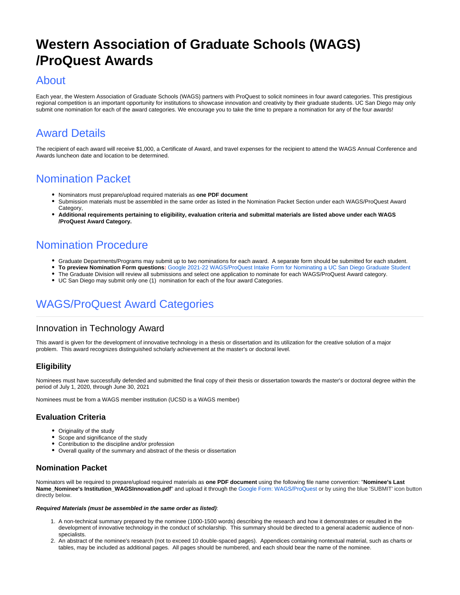# **Western Association of Graduate Schools (WAGS) /ProQuest Awards**

# About

Each year, the Western Association of Graduate Schools (WAGS) partners with ProQuest to solicit nominees in four award categories. This prestigious regional competition is an important opportunity for institutions to showcase innovation and creativity by their graduate students. UC San Diego may only submit one nomination for each of the award categories. We encourage you to take the time to prepare a nomination for any of the four awards!

# Award Details

The recipient of each award will receive \$1,000, a Certificate of Award, and travel expenses for the recipient to attend the WAGS Annual Conference and Awards luncheon date and location to be determined.

# Nomination Packet

- Nominators must prepare/upload required materials as **one PDF document**
	- Submission materials must be assembled in the same order as listed in the Nomination Packet Section under each WAGS/ProQuest Award Category,
	- **Additional requirements pertaining to eligibility, evaluation criteria and submittal materials are listed above under each WAGS /ProQuest Award Category.**

# Nomination Procedure

- Graduate Departments/Programs may submit up to two nominations for each award. A separate form should be submitted for each student.
- **To preview Nomination Form questions:** [Google 2021-22 WAGS/ProQuest Intake Form for Nominating a UC San Diego Graduate Student](https://collab.ucsd.edu/download/attachments/93865486/2021_22WAGSNominationForm-Google%20Form.pdf?version=3&modificationDate=1626984771000&api=v2) The Graduate Division will review all submissions and select one application to nominate for each WAGS/ProQuest Award category.
- 
- UC San Diego may submit only one (1) nomination for each of the four award Categories.

# WAGS/ProQuest Award Categories

# Innovation in Technology Award

This award is given for the development of innovative technology in a thesis or dissertation and its utilization for the creative solution of a major problem. This award recognizes distinguished scholarly achievement at the master's or doctoral level.

## **Eligibility**

Nominees must have successfully defended and submitted the final copy of their thesis or dissertation towards the master's or doctoral degree within the period of July 1, 2020, through June 30, 2021

Nominees must be from a WAGS member institution (UCSD is a WAGS member)

## **Evaluation Criteria**

- Originality of the study
- Scope and significance of the study
- Contribution to the discipline and/or profession
- Overall quality of the summary and abstract of the thesis or dissertation

## **Nomination Packet**

Nominators will be required to prepare/upload required materials as **one PDF document** using the following file name convention: "**Nominee's Last Name\_Nominee's Institution\_WAGSInnovation.pdf**" and upload it through the [Google Form: WAGS/ProQuest](https://docs.google.com/forms/d/e/1FAIpQLScPvw7RKEZ_zlBZ1CAYz8vkNFEBvz2wN3X2_h62bVqaTcCjAw/viewform) or by using the blue 'SUBMIT' icon button directly below.

#### **Required Materials (must be assembled in the same order as listed)**:

- 1. A non-technical summary prepared by the nominee (1000-1500 words) describing the research and how it demonstrates or resulted in the development of innovative technology in the conduct of scholarship. This summary should be directed to a general academic audience of nonspecialists.
- 2. An abstract of the nominee's research (not to exceed 10 double-spaced pages). Appendices containing nontextual material, such as charts or tables, may be included as additional pages. All pages should be numbered, and each should bear the name of the nominee.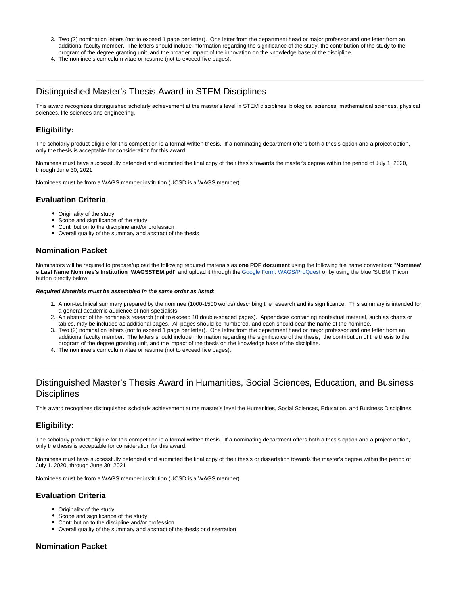- 3. Two (2) nomination letters (not to exceed 1 page per letter). One letter from the department head or major professor and one letter from an additional faculty member. The letters should include information regarding the significance of the study, the contribution of the study to the program of the degree granting unit, and the broader impact of the innovation on the knowledge base of the discipline.
- 4. The nominee's curriculum vitae or resume (not to exceed five pages).

## Distinguished Master's Thesis Award in STEM Disciplines

This award recognizes distinguished scholarly achievement at the master's level in STEM disciplines: biological sciences, mathematical sciences, physical sciences, life sciences and engineering.

## **Eligibility:**

The scholarly product eligible for this competition is a formal written thesis. If a nominating department offers both a thesis option and a project option, only the thesis is acceptable for consideration for this award.

Nominees must have successfully defended and submitted the final copy of their thesis towards the master's degree within the period of July 1, 2020, through June 30, 2021

Nominees must be from a WAGS member institution (UCSD is a WAGS member)

## **Evaluation Criteria**

- Originality of the study
- Scope and significance of the study
- Contribution to the discipline and/or profession
- Overall quality of the summary and abstract of the thesis

## **Nomination Packet**

Nominators will be required to prepare/upload the following required materials as **one PDF document** using the following file name convention: "**Nominee' s Last Name Nominee's Institution\_WAGSSTEM.pdf**" and upload it through the [Google Form: WAGS/ProQuest](https://docs.google.com/forms/d/e/1FAIpQLScPvw7RKEZ_zlBZ1CAYz8vkNFEBvz2wN3X2_h62bVqaTcCjAw/viewform) or by using the blue 'SUBMIT' icon button directly below.

#### **Required Materials must be assembled in the same order as listed**:

- 1. A non-technical summary prepared by the nominee (1000-1500 words) describing the research and its significance. This summary is intended for a general academic audience of non-specialists.
- 2. An abstract of the nominee's research (not to exceed 10 double-spaced pages). Appendices containing nontextual material, such as charts or tables, may be included as additional pages. All pages should be numbered, and each should bear the name of the nominee.
- 3. Two (2) nomination letters (not to exceed 1 page per letter). One letter from the department head or major professor and one letter from an additional faculty member. The letters should include information regarding the significance of the thesis, the contribution of the thesis to the program of the degree granting unit, and the impact of the thesis on the knowledge base of the discipline.
- 4. The nominee's curriculum vitae or resume (not to exceed five pages).

## Distinguished Master's Thesis Award in Humanities, Social Sciences, Education, and Business **Disciplines**

This award recognizes distinguished scholarly achievement at the master's level the Humanities, Social Sciences, Education, and Business Disciplines.

### **Eligibility:**

The scholarly product eligible for this competition is a formal written thesis. If a nominating department offers both a thesis option and a project option, only the thesis is acceptable for consideration for this award.

Nominees must have successfully defended and submitted the final copy of their thesis or dissertation towards the master's degree within the period of July 1. 2020, through June 30, 2021

Nominees must be from a WAGS member institution (UCSD is a WAGS member)

### **Evaluation Criteria**

- Originality of the study
- Scope and significance of the study
- Contribution to the discipline and/or profession
- Overall quality of the summary and abstract of the thesis or dissertation

### **Nomination Packet**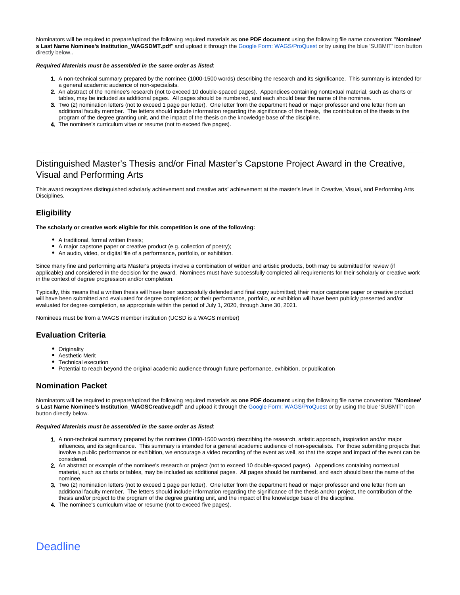Nominators will be required to prepare/upload the following required materials as **one PDF document** using the following file name convention: "**Nominee'** s Last Name Nominee's Institution\_WAGSDMT.pdf" and upload it through the [Google Form: WAGS/ProQuest](https://docs.google.com/forms/d/e/1FAIpQLScPvw7RKEZ_zlBZ1CAYz8vkNFEBvz2wN3X2_h62bVqaTcCjAw/viewform) or by using the blue 'SUBMIT' icon button directly below..

#### **Required Materials must be assembled in the same order as listed**:

- 1. A non-technical summary prepared by the nominee (1000-1500 words) describing the research and its significance. This summary is intended for a general academic audience of non-specialists.
- 2. An abstract of the nominee's research (not to exceed 10 double-spaced pages). Appendices containing nontextual material, such as charts or tables, may be included as additional pages. All pages should be numbered, and each should bear the name of the nominee.
- 3. Two (2) nomination letters (not to exceed 1 page per letter). One letter from the department head or major professor and one letter from an additional faculty member. The letters should include information regarding the significance of the thesis, the contribution of the thesis to the program of the degree granting unit, and the impact of the thesis on the knowledge base of the discipline.
- 4. The nominee's curriculum vitae or resume (not to exceed five pages).

# Distinguished Master's Thesis and/or Final Master's Capstone Project Award in the Creative, Visual and Performing Arts

This award recognizes distinguished scholarly achievement and creative arts' achievement at the master's level in Creative, Visual, and Performing Arts Disciplines.

## **Eligibility**

**The scholarly or creative work eligible for this competition is one of the following:**

- A traditional, formal written thesis;
- A major capstone paper or creative product (e.g. collection of poetry);
- An audio, video, or digital file of a performance, portfolio, or exhibition.

Since many fine and performing arts Master's projects involve a combination of written and artistic products, both may be submitted for review (if applicable) and considered in the decision for the award. Nominees must have successfully completed all requirements for their scholarly or creative work in the context of degree progression and/or completion.

Typically, this means that a written thesis will have been successfully defended and final copy submitted; their major capstone paper or creative product will have been submitted and evaluated for degree completion; or their performance, portfolio, or exhibition will have been publicly presented and/or evaluated for degree completion, as appropriate within the period of July 1, 2020, through June 30, 2021.

Nominees must be from a WAGS member institution (UCSD is a WAGS member)

### **Evaluation Criteria**

- Originality
- Aesthetic Merit
- $\bullet$ Technical execution
- Potential to reach beyond the original academic audience through future performance, exhibition, or publication

### **Nomination Packet**

Nominators will be required to prepare/upload the following required materials as **one PDF document** using the following file name convention: "**Nominee' s Last Name Nominee's Institution\_WAGSCreative.pdf**" and upload it through the [Google Form: WAGS/ProQuest](https://docs.google.com/forms/d/e/1FAIpQLScPvw7RKEZ_zlBZ1CAYz8vkNFEBvz2wN3X2_h62bVqaTcCjAw/viewform) or by using the blue 'SUBMIT' icon button directly below.

#### **Required Materials must be assembled in the same order as listed**:

- 1. A non-technical summary prepared by the nominee (1000-1500 words) describing the research, artistic approach, inspiration and/or major influences, and its significance. This summary is intended for a general academic audience of non-specialists. For those submitting projects that involve a public performance or exhibition, we encourage a video recording of the event as well, so that the scope and impact of the event can be considered.
- 2. An abstract or example of the nominee's research or project (not to exceed 10 double-spaced pages). Appendices containing nontextual material, such as charts or tables, may be included as additional pages. All pages should be numbered, and each should bear the name of the nominee.
- 3. Two (2) nomination letters (not to exceed 1 page per letter). One letter from the department head or major professor and one letter from an additional faculty member. The letters should include information regarding the significance of the thesis and/or project, the contribution of the thesis and/or project to the program of the degree granting unit, and the impact of the knowledge base of the discipline.
- 4. The nominee's curriculum vitae or resume (not to exceed five pages).

# **Deadline**